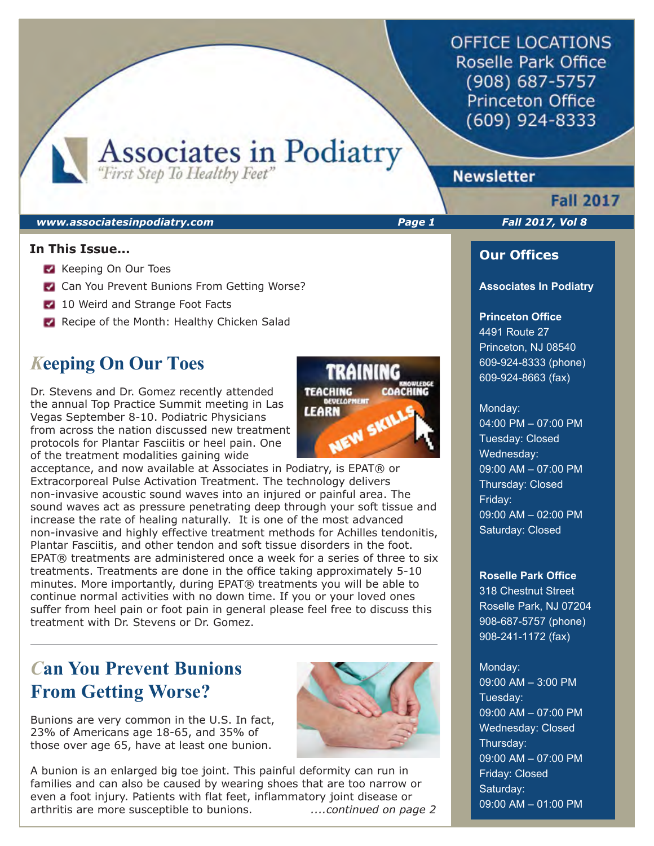**OFFICE LOCATIONS** Roselle Park Office (908) 687-5757 **Princeton Office**  $(609)$  924-8333

Associates in Podiatry

#### *www.associatesinpodiatry.com Page 1 Fall 2017, Vol 8*

#### **In This Issue...**

- **Keeping On Our Toes**
- Can You Prevent Bunions From Getting Worse?
- 10 Weird and Strange Foot Facts
- Recipe of the Month: Healthy Chicken Salad

# *K***eeping On Our Toes**

Dr. Stevens and Dr. Gomez recently attended the annual Top Practice Summit meeting in Las Vegas September 8-10. Podiatric Physicians from across the nation discussed new treatment protocols for Plantar Fasciitis or heel pain. One of the treatment modalities gaining wide

acceptance, and now available at Associates in Podiatry, is EPAT® or Extracorporeal Pulse Activation Treatment. The technology delivers non-invasive acoustic sound waves into an injured or painful area. The sound waves act as pressure penetrating deep through your soft tissue and increase the rate of healing naturally. It is one of the most advanced non-invasive and highly effective treatment methods for Achilles tendonitis, Plantar Fasciitis, and other tendon and soft tissue disorders in the foot. EPAT® treatments are administered once a week for a series of three to six treatments. Treatments are done in the office taking approximately 5-10 minutes. More importantly, during EPAT® treatments you will be able to continue normal activities with no down time. If you or your loved ones suffer from heel pain or foot pain in general please feel free to discuss this treatment with Dr. Stevens or Dr. Gomez.

# *C***an You Prevent Bunions From Getting Worse?**

Bunions are very common in the U.S. In fact, 23% of Americans age 18-65, and 35% of those over age 65, have at least one bunion.



# **TEACHING OACHING LEARN** NEW SKII

### **Newsletter**

# **Fall 2017**

ı

### **Our Offices**

#### **Associates In Podiatry**

#### **Princeton Office**

4491 Route 27 Princeton, NJ 08540 609-924-8333 (phone) 609-924-8663 (fax)

#### Monday:

04:00 PM – 07:00 PM Tuesday: Closed Wednesday: 09:00 AM – 07:00 PM Thursday: Closed Friday: 09:00 AM – 02:00 PM Saturday: Closed

#### **Roselle Park Office**

318 Chestnut Street Roselle Park, NJ 07204 908-687-5757 (phone) 908-241-1172 (fax)

#### Monday:

09:00 AM – 3:00 PM Tuesday: 09:00 AM – 07:00 PM Wednesday: Closed Thursday: 09:00 AM – 07:00 PM Friday: Closed Saturday: 09:00 AM – 01:00 PM

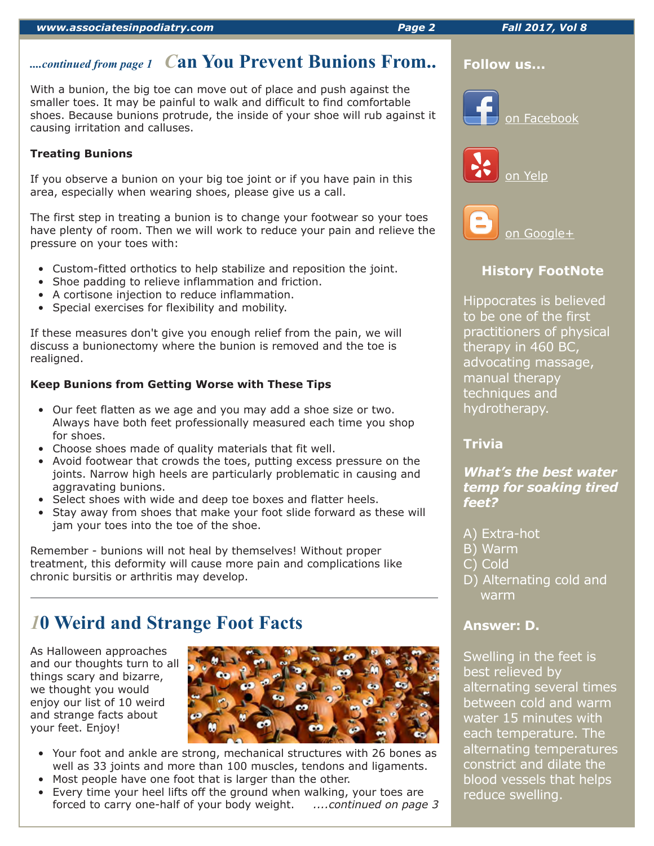# *....continued from page 1 C***an You Prevent Bunions From..**

With a bunion, the big toe can move out of place and push against the smaller toes. It may be painful to walk and difficult to find comfortable shoes. Because bunions protrude, the inside of your shoe will rub against it causing irritation and calluses.

### **Treating Bunions**

If you observe a bunion on your big toe joint or if you have pain in this area, especially when wearing shoes, please give us a call.

The first step in treating a bunion is to change your footwear so your toes have plenty of room. Then we will work to reduce your pain and relieve the pressure on your toes with:

- Custom-fitted orthotics to help stabilize and reposition the joint.
- Shoe padding to relieve inflammation and friction.
- A cortisone injection to reduce inflammation.
- Special exercises for flexibility and mobility.

If these measures don't give you enough relief from the pain, we will discuss a bunionectomy where the bunion is removed and the toe is realigned.

### **Keep Bunions from Getting Worse with These Tips**

- Our feet flatten as we age and you may add a shoe size or two. Always have both feet professionally measured each time you shop for shoes.
- Choose shoes made of quality materials that fit well.
- Avoid footwear that crowds the toes, putting excess pressure on the joints. Narrow high heels are particularly problematic in causing and aggravating bunions.
- Select shoes with wide and deep toe boxes and flatter heels.
- Stay away from shoes that make your foot slide forward as these will jam your toes into the toe of the shoe.

Remember - bunions will not heal by themselves! Without proper treatment, this deformity will cause more pain and complications like chronic bursitis or arthritis may develop.

# *1***0 Weird and Strange Foot Facts**

As Halloween approaches and our thoughts turn to all things scary and bizarre, we thought you would enjoy our list of 10 weird and strange facts about your feet. Enjoy!



- Your foot and ankle are strong, mechanical structures with 26 bones as well as 33 joints and more than 100 muscles, tendons and ligaments.
- Most people have one foot that is larger than the other.
- Every time your heel lifts off the ground when walking, your toes are forced to carry one-half of your body weight. *....continued on page 3*

### **Follow us...**







on Google+

### **History FootNote**

Hippocrates is believed to be one of the first practitioners of physical therapy in 460 BC, advocating massage, manual therapy techniques and hydrotherapy.

### **Trivia**

*What's the best water temp for soaking tired feet?*

- A) Extra-hot
- B) Warm
- C) Cold
- D) Alternating cold and warm

### **Answer: D.**

Swelling in the feet is best relieved by alternating several times between cold and warm water 15 minutes with each temperature. The alternating temperatures constrict and dilate the blood vessels that helps reduce swelling.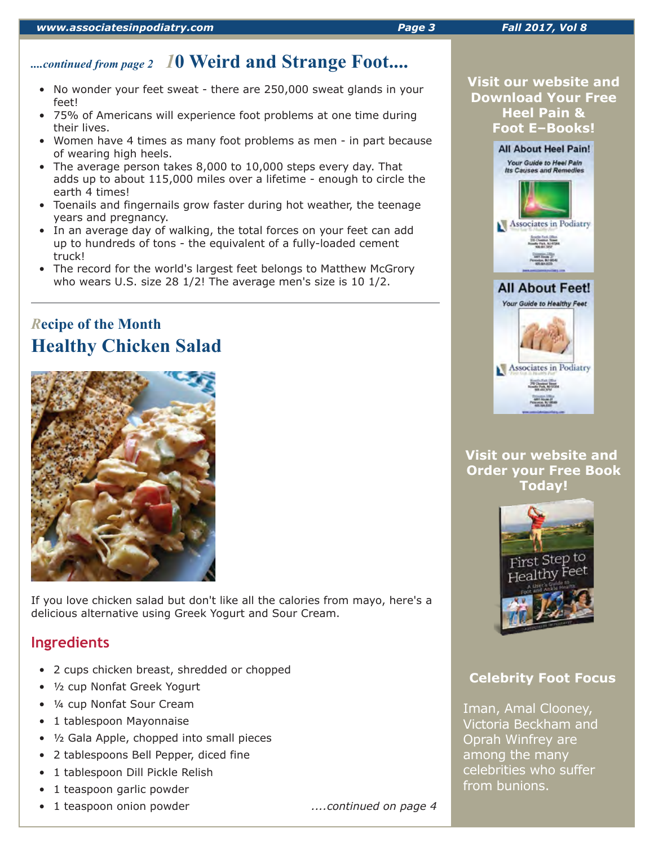# *....continued from page 2 1***0 Weird and Strange Foot....**

- No wonder your feet sweat there are 250,000 sweat glands in your feet!
- 75% of Americans will experience foot problems at one time during their lives.
- Women have 4 times as many foot problems as men in part because of wearing high heels.
- The average person takes 8,000 to 10,000 steps every day. That adds up to about 115,000 miles over a lifetime - enough to circle the earth 4 times!
- Toenails and fingernails grow faster during hot weather, the teenage years and pregnancy.
- In an average day of walking, the total forces on your feet can add up to hundreds of tons - the equivalent of a fully-loaded cement truck!
- The record for the world's largest feet belongs to Matthew McGrory who wears U.S. size 28 1/2! The average men's size is 10 1/2.

# *R***ecipe of the Month Healthy Chicken Salad**



If you love chicken salad but don't like all the calories from mayo, here's a delicious alternative using Greek Yogurt and Sour Cream.

# **Ingredients**

- 2 cups chicken breast, shredded or chopped
- ½ cup Nonfat Greek Yogurt
- ¼ cup Nonfat Sour Cream
- 1 tablespoon Mayonnaise
- ½ Gala Apple, chopped into small pieces
- 2 tablespoons Bell Pepper, diced fine
- 1 tablespoon Dill Pickle Relish
- 1 teaspoon garlic powder
- 1 teaspoon onion powder *....continued on page 4*







**Visit our website and Order your Free Book Today!**



# **Celebrity Foot Focus**

Iman, Amal Clooney, Victoria Beckham and Oprah Winfrey are among the many celebrities who suffer from bunions.